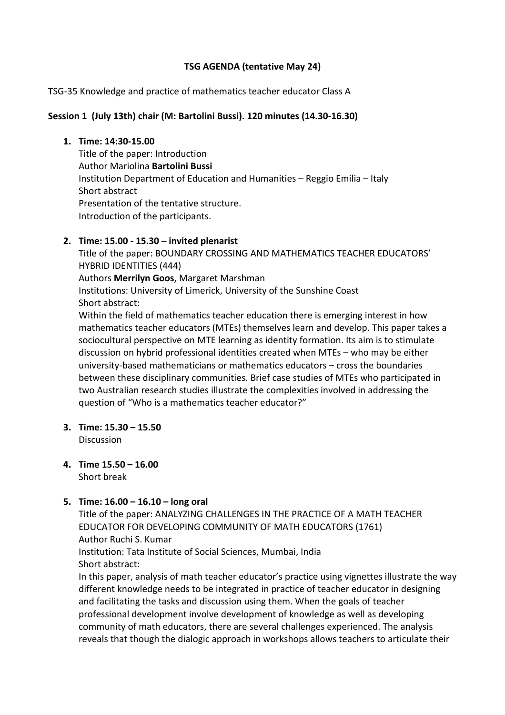### **TSG AGENDA (tentative May 24)**

TSG-35 Knowledge and practice of mathematics teacher educator Class A

### **Session 1 (July 13th) chair (M: Bartolini Bussi). 120 minutes (14.30-16.30)**

#### **1. Time: 14:30-15.00**

Title of the paper: Introduction Author Mariolina **Bartolini Bussi** Institution Department of Education and Humanities – Reggio Emilia – Italy Short abstract Presentation of the tentative structure. Introduction of the participants.

# **2. Time: 15.00 - 15.30 – invited plenarist**

Title of the paper: BOUNDARY CROSSING AND MATHEMATICS TEACHER EDUCATORS' HYBRID IDENTITIES (444) Authors **Merrilyn Goos**, Margaret Marshman Institutions: University of Limerick, University of the Sunshine Coast Short abstract:

Within the field of mathematics teacher education there is emerging interest in how mathematics teacher educators (MTEs) themselves learn and develop. This paper takes a sociocultural perspective on MTE learning as identity formation. Its aim is to stimulate discussion on hybrid professional identities created when MTEs – who may be either university-based mathematicians or mathematics educators – cross the boundaries between these disciplinary communities. Brief case studies of MTEs who participated in two Australian research studies illustrate the complexities involved in addressing the question of "Who is a mathematics teacher educator?"

**3. Time: 15.30 – 15.50**

**Discussion** 

**4. Time 15.50 – 16.00** Short break

# **5. Time: 16.00 – 16.10 – long oral**

Title of the paper: ANALYZING CHALLENGES IN THE PRACTICE OF A MATH TEACHER EDUCATOR FOR DEVELOPING COMMUNITY OF MATH EDUCATORS (1761) Author Ruchi S. Kumar Institution: Tata Institute of Social Sciences, Mumbai, India Short abstract: In this paper, analysis of math teacher educator's practice using vignettes illustrate the way

different knowledge needs to be integrated in practice of teacher educator in designing and facilitating the tasks and discussion using them. When the goals of teacher professional development involve development of knowledge as well as developing community of math educators, there are several challenges experienced. The analysis reveals that though the dialogic approach in workshops allows teachers to articulate their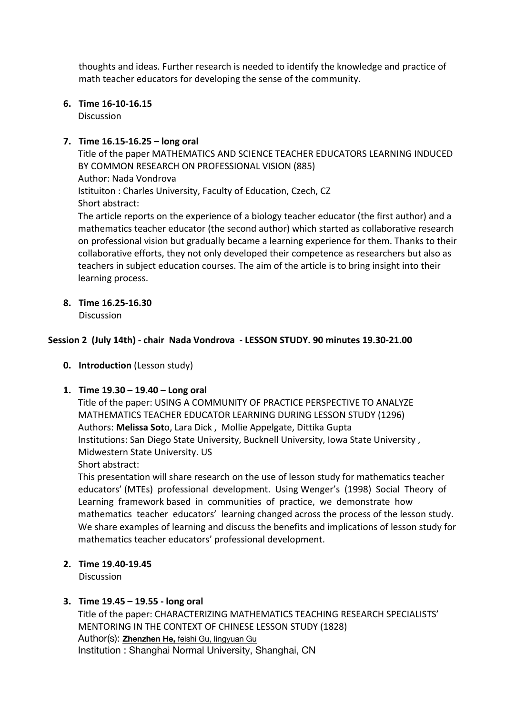thoughts and ideas. Further research is needed to identify the knowledge and practice of math teacher educators for developing the sense of the community.

**6. Time 16-10-16.15**

**Discussion** 

# **7. Time 16.15-16.25 – long oral**

Title of the paper MATHEMATICS AND SCIENCE TEACHER EDUCATORS LEARNING INDUCED BY COMMON RESEARCH ON PROFESSIONAL VISION (885) Author: Nada Vondrova Istituiton : Charles University, Faculty of Education, Czech, CZ Short abstract: The article reports on the experience of a biology teacher educator (the first author) and a mathematics teacher educator (the second author) which started as collaborative research on professional vision but gradually became a learning experience for them. Thanks to their collaborative efforts, they not only developed their competence as researchers but also as teachers in subject education courses. The aim of the article is to bring insight into their learning process.

**8. Time 16.25-16.30**

Discussion

# **Session 2 (July 14th) - chair Nada Vondrova - LESSON STUDY. 90 minutes 19.30-21.00**

**0. Introduction** (Lesson study)

# **1. Time 19.30 – 19.40 – Long oral**

Title of the paper: USING A COMMUNITY OF PRACTICE PERSPECTIVE TO ANALYZE MATHEMATICS TEACHER EDUCATOR LEARNING DURING LESSON STUDY (1296) Authors: **Melissa Sot**o, Lara Dick , Mollie Appelgate, Dittika Gupta Institutions: San Diego State University, Bucknell University, Iowa State University , Midwestern State University. US

Short abstract:

This presentation will share research on the use of lesson study for mathematics teacher educators' (MTEs) professional development. Using Wenger's (1998) Social Theory of Learning framework based in communities of practice, we demonstrate how mathematics teacher educators' learning changed across the process of the lesson study. We share examples of learning and discuss the benefits and implications of lesson study for mathematics teacher educators' professional development.

# **2. Time 19.40-19.45**

**Discussion** 

# **3. Time 19.45 – 19.55 - long oral**

Title of the paper: CHARACTERIZING MATHEMATICS TEACHING RESEARCH SPECIALISTS' MENTORING IN THE CONTEXT OF CHINESE LESSON STUDY (1828) Author(s): **Zhenzhen He,** feishi Gu, lingyuan Gu Institution : Shanghai Normal University, Shanghai, CN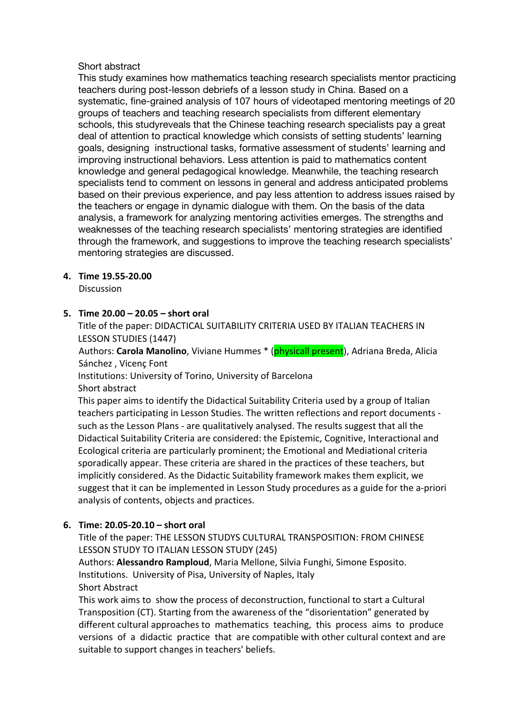### Short abstract

This study examines how mathematics teaching research specialists mentor practicing teachers during post-lesson debriefs of a lesson study in China. Based on a systematic, fine-grained analysis of 107 hours of videotaped mentoring meetings of 20 groups of teachers and teaching research specialists from different elementary schools, this studyreveals that the Chinese teaching research specialists pay a great deal of attention to practical knowledge which consists of setting students' learning goals, designing instructional tasks, formative assessment of students' learning and improving instructional behaviors. Less attention is paid to mathematics content knowledge and general pedagogical knowledge. Meanwhile, the teaching research specialists tend to comment on lessons in general and address anticipated problems based on their previous experience, and pay less attention to address issues raised by the teachers or engage in dynamic dialogue with them. On the basis of the data analysis, a framework for analyzing mentoring activities emerges. The strengths and weaknesses of the teaching research specialists' mentoring strategies are identified through the framework, and suggestions to improve the teaching research specialists' mentoring strategies are discussed.

### **4. Time 19.55-20.00**

**Discussion** 

# **5. Time 20.00 – 20.05 – short oral**

Title of the paper: DIDACTICAL SUITABILITY CRITERIA USED BY ITALIAN TEACHERS IN LESSON STUDIES (1447)

Authors: **Carola Manolino**, Viviane Hummes \* (physicall present), Adriana Breda, Alicia Sánchez , Vicenç Font

Institutions: University of Torino, University of Barcelona

Short abstract

This paper aims to identify the Didactical Suitability Criteria used by a group of Italian teachers participating in Lesson Studies. The written reflections and report documents such as the Lesson Plans - are qualitatively analysed. The results suggest that all the Didactical Suitability Criteria are considered: the Epistemic, Cognitive, Interactional and Ecological criteria are particularly prominent; the Emotional and Mediational criteria sporadically appear. These criteria are shared in the practices of these teachers, but implicitly considered. As the Didactic Suitability framework makes them explicit, we suggest that it can be implemented in Lesson Study procedures as a guide for the a-priori analysis of contents, objects and practices.

# **6. Time: 20.05-20.10 – short oral**

Title of the paper: THE LESSON STUDYS CULTURAL TRANSPOSITION: FROM CHINESE LESSON STUDY TO ITALIAN LESSON STUDY (245)

Authors: **Alessandro Ramploud**, Maria Mellone, Silvia Funghi, Simone Esposito. Institutions. University of Pisa, University of Naples, Italy Short Abstract

This work aims to show the process of deconstruction, functional to start a Cultural Transposition (CT). Starting from the awareness of the "disorientation" generated by different cultural approaches to mathematics teaching, this process aims to produce versions of a didactic practice that are compatible with other cultural context and are suitable to support changes in teachers' beliefs.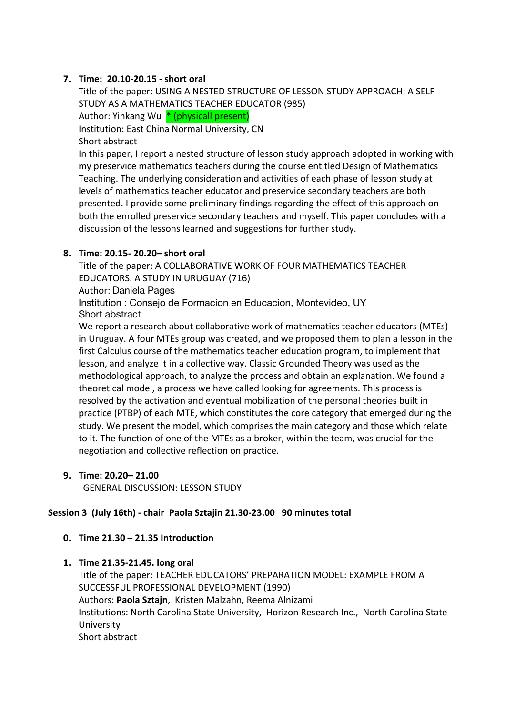# **7. Time: 20.10-20.15 - short oral**

Title of the paper: USING A NESTED STRUCTURE OF LESSON STUDY APPROACH: A SELF-STUDY AS A MATHEMATICS TEACHER EDUCATOR (985) Author: Yinkang Wu \* (physicall present) Institution: East China Normal University, CN Short abstract In this paper, I report a nested structure of lesson study approach adopted in working with my preservice mathematics teachers during the course entitled Design of Mathematics Teaching. The underlying consideration and activities of each phase of lesson study at levels of mathematics teacher educator and preservice secondary teachers are both presented. I provide some preliminary findings regarding the effect of this approach on both the enrolled preservice secondary teachers and myself. This paper concludes with a discussion of the lessons learned and suggestions for further study.

### **8. Time: 20.15- 20.20– short oral**

Title of the paper: A COLLABORATIVE WORK OF FOUR MATHEMATICS TEACHER EDUCATORS. A STUDY IN URUGUAY (716)

Author: Daniela Pages

Institution : Consejo de Formacion en Educacion, Montevideo, UY Short abstract

We report a research about collaborative work of mathematics teacher educators (MTEs) in Uruguay. A four MTEs group was created, and we proposed them to plan a lesson in the first Calculus course of the mathematics teacher education program, to implement that lesson, and analyze it in a collective way. Classic Grounded Theory was used as the methodological approach, to analyze the process and obtain an explanation. We found a theoretical model, a process we have called looking for agreements. This process is resolved by the activation and eventual mobilization of the personal theories built in practice (PTBP) of each MTE, which constitutes the core category that emerged during the study. We present the model, which comprises the main category and those which relate to it. The function of one of the MTEs as a broker, within the team, was crucial for the negotiation and collective reflection on practice.

**9. Time: 20.20– 21.00**

GENERAL DISCUSSION: LESSON STUDY

# **Session 3 (July 16th) - chair Paola Sztajin 21.30-23.00 90 minutes total**

- **0. Time 21.30 – 21.35 Introduction**
- **1. Time 21.35-21.45. long oral**

Title of the paper: TEACHER EDUCATORS' PREPARATION MODEL: EXAMPLE FROM A SUCCESSFUL PROFESSIONAL DEVELOPMENT (1990) Authors: **Paola Sztajn**, Kristen Malzahn, Reema Alnizami Institutions: North Carolina State University, Horizon Research Inc., North Carolina State University Short abstract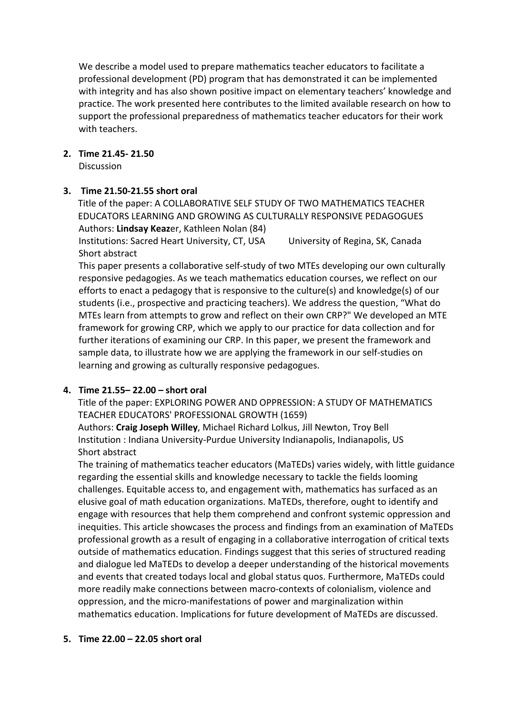We describe a model used to prepare mathematics teacher educators to facilitate a professional development (PD) program that has demonstrated it can be implemented with integrity and has also shown positive impact on elementary teachers' knowledge and practice. The work presented here contributes to the limited available research on how to support the professional preparedness of mathematics teacher educators for their work with teachers.

### **2. Time 21.45- 21.50**

**Discussion** 

# **3. Time 21.50-21.55 short oral**

Title of the paper: A COLLABORATIVE SELF STUDY OF TWO MATHEMATICS TEACHER EDUCATORS LEARNING AND GROWING AS CULTURALLY RESPONSIVE PEDAGOGUES Authors: **Lindsay Keaz**er, Kathleen Nolan (84)

Institutions: Sacred Heart University, CT, USA University of Regina, SK, Canada Short abstract

This paper presents a collaborative self-study of two MTEs developing our own culturally responsive pedagogies. As we teach mathematics education courses, we reflect on our efforts to enact a pedagogy that is responsive to the culture(s) and knowledge(s) of our students (i.e., prospective and practicing teachers). We address the question, "What do MTEs learn from attempts to grow and reflect on their own CRP?" We developed an MTE framework for growing CRP, which we apply to our practice for data collection and for further iterations of examining our CRP. In this paper, we present the framework and sample data, to illustrate how we are applying the framework in our self-studies on learning and growing as culturally responsive pedagogues.

# **4. Time 21.55– 22.00 – short oral**

Title of the paper: EXPLORING POWER AND OPPRESSION: A STUDY OF MATHEMATICS TEACHER EDUCATORS' PROFESSIONAL GROWTH (1659)

Authors: **Craig Joseph Willey**, Michael Richard Lolkus, Jill Newton, Troy Bell Institution : Indiana University-Purdue University Indianapolis, Indianapolis, US Short abstract

The training of mathematics teacher educators (MaTEDs) varies widely, with little guidance regarding the essential skills and knowledge necessary to tackle the fields looming challenges. Equitable access to, and engagement with, mathematics has surfaced as an elusive goal of math education organizations. MaTEDs, therefore, ought to identify and engage with resources that help them comprehend and confront systemic oppression and inequities. This article showcases the process and findings from an examination of MaTEDs professional growth as a result of engaging in a collaborative interrogation of critical texts outside of mathematics education. Findings suggest that this series of structured reading and dialogue led MaTEDs to develop a deeper understanding of the historical movements and events that created todays local and global status quos. Furthermore, MaTEDs could more readily make connections between macro-contexts of colonialism, violence and oppression, and the micro-manifestations of power and marginalization within mathematics education. Implications for future development of MaTEDs are discussed.

#### **5. Time 22.00 – 22.05 short oral**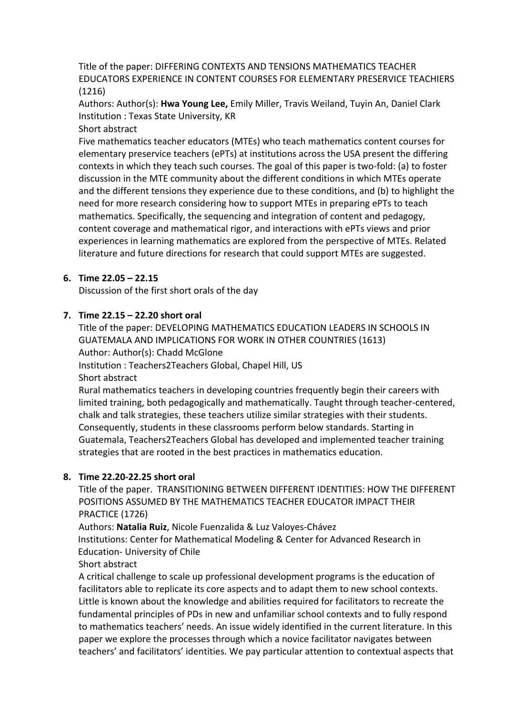Title of the paper: DIFFERING CONTEXTS AND TENSIONS MATHEMATICS TEACHER EDUCATORS EXPERIENCE IN CONTENT COURSES FOR ELEMENTARY PRESERVICE TEACHIERS (1216)

Authors: Author(s): **Hwa Young Lee,** Emily Miller, Travis Weiland, Tuyin An, Daniel Clark Institution : Texas State University, KR

Short abstract

Five mathematics teacher educators (MTEs) who teach mathematics content courses for elementary preservice teachers (ePTs) at institutions across the USA present the differing contexts in which they teach such courses. The goal of this paper is two-fold: (a) to foster discussion in the MTE community about the different conditions in which MTEs operate and the different tensions they experience due to these conditions, and (b) to highlight the need for more research considering how to support MTEs in preparing ePTs to teach mathematics. Specifically, the sequencing and integration of content and pedagogy, content coverage and mathematical rigor, and interactions with ePTs views and prior experiences in learning mathematics are explored from the perspective of MTEs. Related literature and future directions for research that could support MTEs are suggested.

# **6. Time 22.05 – 22.15**

Discussion of the first short orals of the day

# **7. Time 22.15 – 22.20 short oral**

Title of the paper: DEVELOPING MATHEMATICS EDUCATION LEADERS IN SCHOOLS IN GUATEMALA AND IMPLICATIONS FOR WORK IN OTHER COUNTRIES (1613) Author: Author(s): Chadd McGlone Institution : Teachers2Teachers Global, Chapel Hill, US Short abstract

Rural mathematics teachers in developing countries frequently begin their careers with limited training, both pedagogically and mathematically. Taught through teacher-centered, chalk and talk strategies, these teachers utilize similar strategies with their students. Consequently, students in these classrooms perform below standards. Starting in Guatemala, Teachers2Teachers Global has developed and implemented teacher training strategies that are rooted in the best practices in mathematics education.

# **8. Time 22.20-22.25 short oral**

Title of the paper. TRANSITIONING BETWEEN DIFFERENT IDENTITIES: HOW THE DIFFERENT POSITIONS ASSUMED BY THE MATHEMATICS TEACHER EDUCATOR IMPACT THEIR PRACTICE (1726)

Authors: **Natalia Ruiz**, Nicole Fuenzalida & Luz Valoyes-Chávez

Institutions: Center for Mathematical Modeling & Center for Advanced Research in Education- University of Chile

Short abstract

A critical challenge to scale up professional development programs is the education of facilitators able to replicate its core aspects and to adapt them to new school contexts. Little is known about the knowledge and abilities required for facilitators to recreate the fundamental principles of PDs in new and unfamiliar school contexts and to fully respond to mathematics teachers' needs. An issue widely identified in the current literature. In this paper we explore the processes through which a novice facilitator navigates between teachers' and facilitators' identities. We pay particular attention to contextual aspects that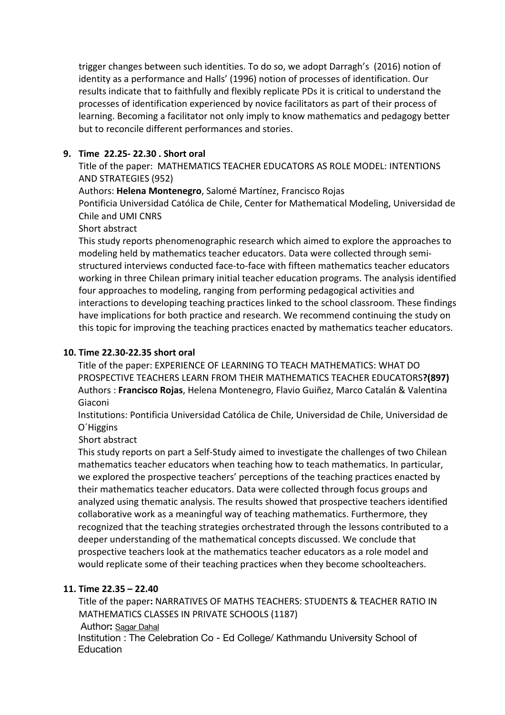trigger changes between such identities. To do so, we adopt Darragh's (2016) notion of identity as a performance and Halls' (1996) notion of processes of identification. Our results indicate that to faithfully and flexibly replicate PDs it is critical to understand the processes of identification experienced by novice facilitators as part of their process of learning. Becoming a facilitator not only imply to know mathematics and pedagogy better but to reconcile different performances and stories.

# **9. Time 22.25- 22.30 . Short oral**

Title of the paper: MATHEMATICS TEACHER EDUCATORS AS ROLE MODEL: INTENTIONS AND STRATEGIES (952)

Authors: **Helena Montenegro**, Salomé Martínez, Francisco Rojas

Pontificia Universidad Católica de Chile, Center for Mathematical Modeling, Universidad de Chile and UMI CNRS

# Short abstract

This study reports phenomenographic research which aimed to explore the approaches to modeling held by mathematics teacher educators. Data were collected through semistructured interviews conducted face-to-face with fifteen mathematics teacher educators working in three Chilean primary initial teacher education programs. The analysis identified four approaches to modeling, ranging from performing pedagogical activities and interactions to developing teaching practices linked to the school classroom. These findings have implications for both practice and research. We recommend continuing the study on this topic for improving the teaching practices enacted by mathematics teacher educators.

# **10. Time 22.30-22.35 short oral**

Title of the paper: EXPERIENCE OF LEARNING TO TEACH MATHEMATICS: WHAT DO PROSPECTIVE TEACHERS LEARN FROM THEIR MATHEMATICS TEACHER EDUCATORS**?(897)** Authors : **Francisco Rojas**, Helena Montenegro, Flavio Guiñez, Marco Catalán & Valentina Giaconi

Institutions: Pontificia Universidad Católica de Chile, Universidad de Chile, Universidad de O´Higgins

Short abstract

This study reports on part a Self-Study aimed to investigate the challenges of two Chilean mathematics teacher educators when teaching how to teach mathematics. In particular, we explored the prospective teachers' perceptions of the teaching practices enacted by their mathematics teacher educators. Data were collected through focus groups and analyzed using thematic analysis. The results showed that prospective teachers identified collaborative work as a meaningful way of teaching mathematics. Furthermore, they recognized that the teaching strategies orchestrated through the lessons contributed to a deeper understanding of the mathematical concepts discussed. We conclude that prospective teachers look at the mathematics teacher educators as a role model and would replicate some of their teaching practices when they become schoolteachers.

# **11. Time 22.35 – 22.40**

Title of the paper**:** NARRATIVES OF MATHS TEACHERS: STUDENTS & TEACHER RATIO IN MATHEMATICS CLASSES IN PRIVATE SCHOOLS (1187) Author**:** Sagar Dahal Institution : The Celebration Co - Ed College/ Kathmandu University School of Education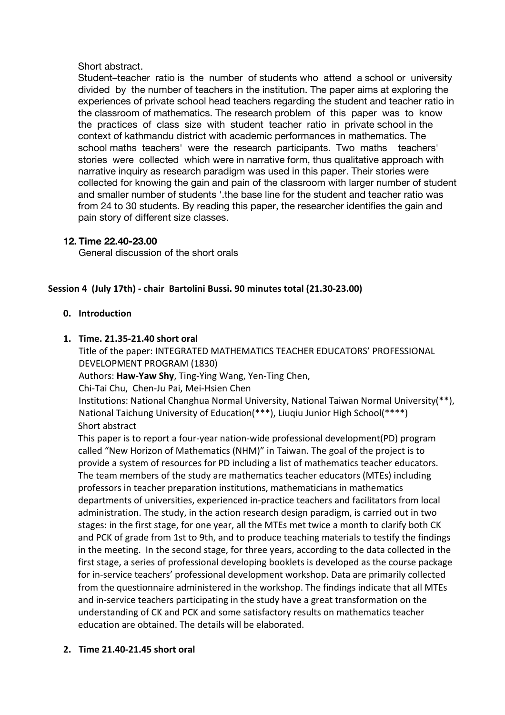### Short abstract.

Student–teacher ratio is the number of students who attend a school or university divided by the number of teachers in the institution. The paper aims at exploring the experiences of private school head teachers regarding the student and teacher ratio in the classroom of mathematics. The research problem of this paper was to know the practices of class size with student teacher ratio in private school in the context of kathmandu district with academic performances in mathematics. The school maths teachers' were the research participants. Two maths teachers' stories were collected which were in narrative form, thus qualitative approach with narrative inquiry as research paradigm was used in this paper. Their stories were collected for knowing the gain and pain of the classroom with larger number of student and smaller number of students '.the base line for the student and teacher ratio was from 24 to 30 students. By reading this paper, the researcher identifies the gain and pain story of different size classes.

# **12. Time 22.40-23.00**

General discussion of the short orals

### **Session 4 (July 17th) - chair Bartolini Bussi. 90 minutes total (21.30-23.00)**

### **0. Introduction**

### **1. Time. 21.35-21.40 short oral**

Title of the paper: INTEGRATED MATHEMATICS TEACHER EDUCATORS' PROFESSIONAL DEVELOPMENT PROGRAM (1830)

Authors: **Haw-Yaw Shy**, Ting-Ying Wang, Yen-Ting Chen,

Chi-Tai Chu, Chen-Ju Pai, Mei-Hsien Chen

Institutions: National Changhua Normal University, National Taiwan Normal University(\*\*), National Taichung University of Education(\*\*\*), Liuqiu Junior High School(\*\*\*\*) Short abstract

This paper is to report a four-year nation-wide professional development(PD) program called "New Horizon of Mathematics (NHM)" in Taiwan. The goal of the project is to provide a system of resources for PD including a list of mathematics teacher educators. The team members of the study are mathematics teacher educators (MTEs) including professors in teacher preparation institutions, mathematicians in mathematics departments of universities, experienced in-practice teachers and facilitators from local administration. The study, in the action research design paradigm, is carried out in two stages: in the first stage, for one year, all the MTEs met twice a month to clarify both CK and PCK of grade from 1st to 9th, and to produce teaching materials to testify the findings in the meeting. In the second stage, for three years, according to the data collected in the first stage, a series of professional developing booklets is developed as the course package for in-service teachers' professional development workshop. Data are primarily collected from the questionnaire administered in the workshop. The findings indicate that all MTEs and in-service teachers participating in the study have a great transformation on the understanding of CK and PCK and some satisfactory results on mathematics teacher education are obtained. The details will be elaborated.

# **2. Time 21.40-21.45 short oral**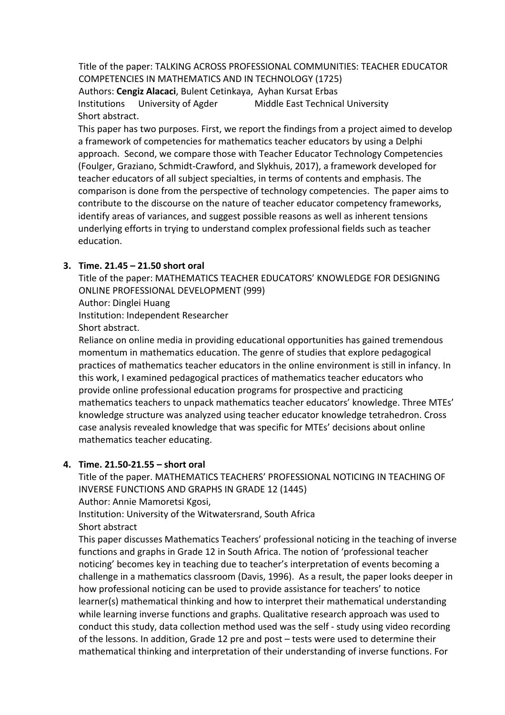Title of the paper: TALKING ACROSS PROFESSIONAL COMMUNITIES: TEACHER EDUCATOR COMPETENCIES IN MATHEMATICS AND IN TECHNOLOGY (1725) Authors: **Cengiz Alacaci**, Bulent Cetinkaya, Ayhan Kursat Erbas Institutions University of Agder Middle East Technical University Short abstract.

This paper has two purposes. First, we report the findings from a project aimed to develop a framework of competencies for mathematics teacher educators by using a Delphi approach. Second, we compare those with Teacher Educator Technology Competencies (Foulger, Graziano, Schmidt-Crawford, and Slykhuis, 2017), a framework developed for teacher educators of all subject specialties, in terms of contents and emphasis. The comparison is done from the perspective of technology competencies. The paper aims to contribute to the discourse on the nature of teacher educator competency frameworks, identify areas of variances, and suggest possible reasons as well as inherent tensions underlying efforts in trying to understand complex professional fields such as teacher education.

# **3. Time. 21.45 – 21.50 short oral**

Title of the paper: MATHEMATICS TEACHER EDUCATORS' KNOWLEDGE FOR DESIGNING ONLINE PROFESSIONAL DEVELOPMENT (999)

Author: Dinglei Huang

Institution: Independent Researcher

Short abstract.

Reliance on online media in providing educational opportunities has gained tremendous momentum in mathematics education. The genre of studies that explore pedagogical practices of mathematics teacher educators in the online environment is still in infancy. In this work, I examined pedagogical practices of mathematics teacher educators who provide online professional education programs for prospective and practicing mathematics teachers to unpack mathematics teacher educators' knowledge. Three MTEs' knowledge structure was analyzed using teacher educator knowledge tetrahedron. Cross case analysis revealed knowledge that was specific for MTEs' decisions about online mathematics teacher educating.

# **4. Time. 21.50-21.55 – short oral**

Title of the paper. MATHEMATICS TEACHERS' PROFESSIONAL NOTICING IN TEACHING OF INVERSE FUNCTIONS AND GRAPHS IN GRADE 12 (1445)

Author: Annie Mamoretsi Kgosi,

Institution: University of the Witwatersrand, South Africa

Short abstract

This paper discusses Mathematics Teachers' professional noticing in the teaching of inverse functions and graphs in Grade 12 in South Africa. The notion of 'professional teacher noticing' becomes key in teaching due to teacher's interpretation of events becoming a challenge in a mathematics classroom (Davis, 1996). As a result, the paper looks deeper in how professional noticing can be used to provide assistance for teachers' to notice learner(s) mathematical thinking and how to interpret their mathematical understanding while learning inverse functions and graphs. Qualitative research approach was used to conduct this study, data collection method used was the self - study using video recording of the lessons. In addition, Grade 12 pre and post – tests were used to determine their mathematical thinking and interpretation of their understanding of inverse functions. For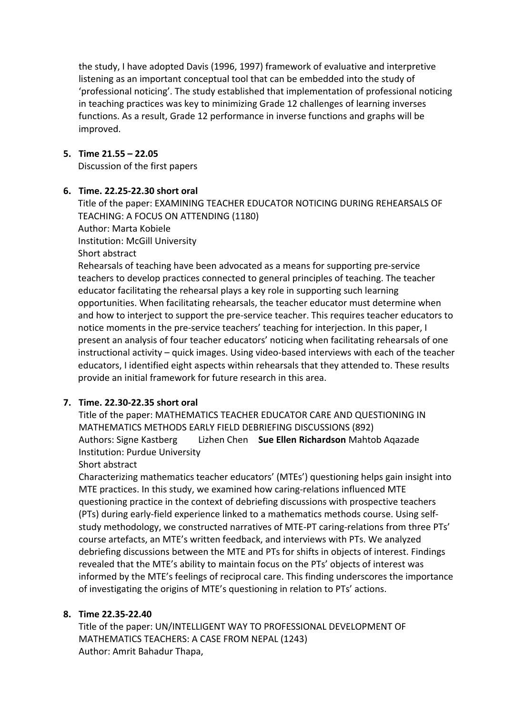the study, I have adopted Davis (1996, 1997) framework of evaluative and interpretive listening as an important conceptual tool that can be embedded into the study of 'professional noticing'. The study established that implementation of professional noticing in teaching practices was key to minimizing Grade 12 challenges of learning inverses functions. As a result, Grade 12 performance in inverse functions and graphs will be improved.

### **5. Time 21.55 – 22.05**

Discussion of the first papers

### **6. Time. 22.25-22.30 short oral**

Title of the paper: EXAMINING TEACHER EDUCATOR NOTICING DURING REHEARSALS OF TEACHING: A FOCUS ON ATTENDING (1180) Author: Marta Kobiele Institution: McGill University

Short abstract

Rehearsals of teaching have been advocated as a means for supporting pre-service teachers to develop practices connected to general principles of teaching. The teacher educator facilitating the rehearsal plays a key role in supporting such learning opportunities. When facilitating rehearsals, the teacher educator must determine when and how to interject to support the pre-service teacher. This requires teacher educators to notice moments in the pre-service teachers' teaching for interjection. In this paper, I present an analysis of four teacher educators' noticing when facilitating rehearsals of one instructional activity – quick images. Using video-based interviews with each of the teacher educators, I identified eight aspects within rehearsals that they attended to. These results provide an initial framework for future research in this area.

# **7. Time. 22.30-22.35 short oral**

Title of the paper: MATHEMATICS TEACHER EDUCATOR CARE AND QUESTIONING IN MATHEMATICS METHODS EARLY FIELD DEBRIEFING DISCUSSIONS (892) Authors: Signe Kastberg Lizhen Chen **Sue Ellen Richardson** Mahtob Aqazade Institution: Purdue University

Short abstract

Characterizing mathematics teacher educators' (MTEs') questioning helps gain insight into MTE practices. In this study, we examined how caring-relations influenced MTE questioning practice in the context of debriefing discussions with prospective teachers (PTs) during early-field experience linked to a mathematics methods course. Using selfstudy methodology, we constructed narratives of MTE-PT caring-relations from three PTs' course artefacts, an MTE's written feedback, and interviews with PTs. We analyzed debriefing discussions between the MTE and PTs for shifts in objects of interest. Findings revealed that the MTE's ability to maintain focus on the PTs' objects of interest was informed by the MTE's feelings of reciprocal care. This finding underscores the importance of investigating the origins of MTE's questioning in relation to PTs' actions.

#### **8. Time 22.35-22.40**

Title of the paper: UN/INTELLIGENT WAY TO PROFESSIONAL DEVELOPMENT OF MATHEMATICS TEACHERS: A CASE FROM NEPAL (1243) Author: Amrit Bahadur Thapa,